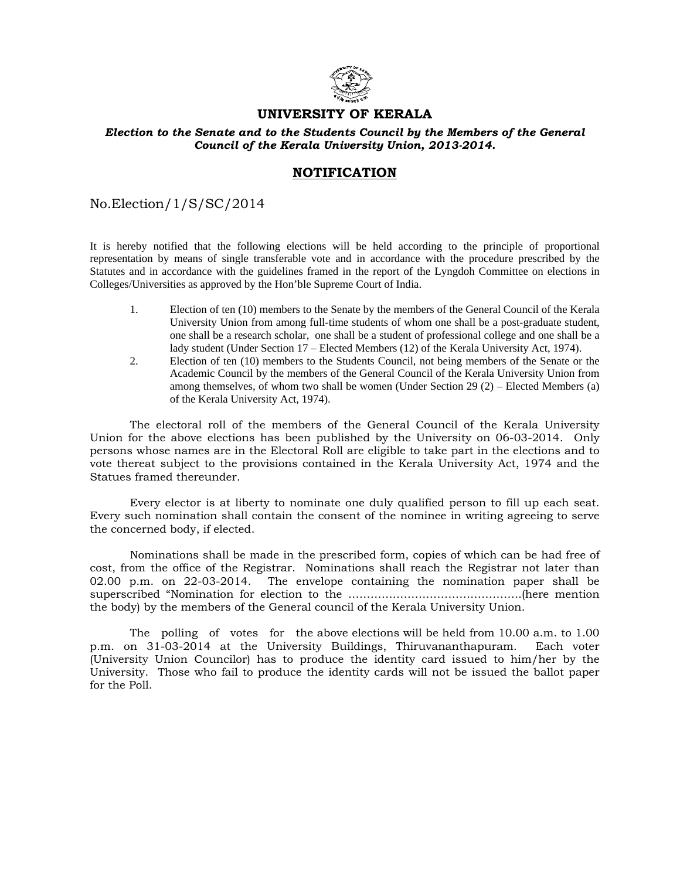

## **UNIVERSITY OF KERALA**

## *Election to the Senate and to the Students Council by the Members of the General Council of the Kerala University Union, 2013-2014.*

## **NOTIFICATION**

No.Election/1/S/SC/2014

It is hereby notified that the following elections will be held according to the principle of proportional representation by means of single transferable vote and in accordance with the procedure prescribed by the Statutes and in accordance with the guidelines framed in the report of the Lyngdoh Committee on elections in Colleges/Universities as approved by the Hon'ble Supreme Court of India.

- 1. Election of ten (10) members to the Senate by the members of the General Council of the Kerala University Union from among full-time students of whom one shall be a post-graduate student, one shall be a research scholar, one shall be a student of professional college and one shall be a lady student (Under Section 17 – Elected Members (12) of the Kerala University Act, 1974).
- 2. Election of ten (10) members to the Students Council, not being members of the Senate or the Academic Council by the members of the General Council of the Kerala University Union from among themselves, of whom two shall be women (Under Section 29 (2) – Elected Members (a) of the Kerala University Act, 1974).

 The electoral roll of the members of the General Council of the Kerala University Union for the above elections has been published by the University on 06-03-2014. Only persons whose names are in the Electoral Roll are eligible to take part in the elections and to vote thereat subject to the provisions contained in the Kerala University Act, 1974 and the Statues framed thereunder.

 Every elector is at liberty to nominate one duly qualified person to fill up each seat. Every such nomination shall contain the consent of the nominee in writing agreeing to serve the concerned body, if elected.

 Nominations shall be made in the prescribed form, copies of which can be had free of cost, from the office of the Registrar. Nominations shall reach the Registrar not later than 02.00 p.m. on 22-03-2014. The envelope containing the nomination paper shall be superscribed "Nomination for election to the ………………………………………………………here mention the body) by the members of the General council of the Kerala University Union.

 The polling of votes for the above elections will be held from 10.00 a.m. to 1.00 p.m. on 31-03-2014 at the University Buildings, Thiruvananthapuram. Each voter (University Union Councilor) has to produce the identity card issued to him/her by the University. Those who fail to produce the identity cards will not be issued the ballot paper for the Poll.